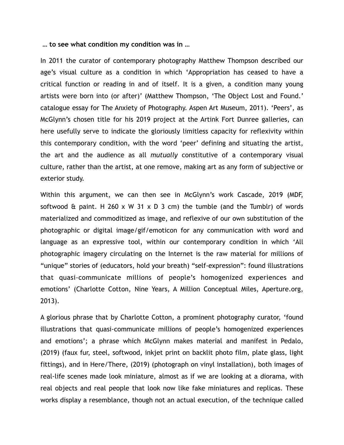**… to see what condition my condition was in …** 

In 2011 the curator of contemporary photography Matthew Thompson described our age's visual culture as a condition in which 'Appropriation has ceased to have a critical function or reading in and of itself. It is a given, a condition many young artists were born into (or after)' (Matthew Thompson, 'The Object Lost and Found.' catalogue essay for The Anxiety of Photography. Aspen Art Museum, 2011). 'Peers', as McGlynn's chosen title for his 2019 project at the Artink Fort Dunree galleries, can here usefully serve to indicate the gloriously limitless capacity for reflexivity within this contemporary condition, with the word 'peer' defining and situating the artist, the art and the audience as all *mutually* constitutive of a contemporary visual culture, rather than the artist, at one remove, making art as any form of subjective or exterior study.

Within this argument, we can then see in McGlynn's work Cascade, 2019 (MDF, softwood  $\hat{\alpha}$  paint. H 260 x W 31 x D 3 cm) the tumble (and the Tumblr) of words materialized and commoditized as image, and reflexive of our own substitution of the photographic or digital image/gif/emoticon for any communication with word and language as an expressive tool, within our contemporary condition in which 'All photographic imagery circulating on the Internet is the raw material for millions of "unique" stories of (educators, hold your breath) "self-expression": found illustrations that quasi-communicate millions of people's homogenized experiences and emotions' (Charlotte Cotton, Nine Years, A Million Conceptual Miles, Aperture.org, 2013).

A glorious phrase that by Charlotte Cotton, a prominent photography curator, 'found illustrations that quasi-communicate millions of people's homogenized experiences and emotions'; a phrase which McGlynn makes material and manifest in Pedalo, (2019) (faux fur, steel, softwood, inkjet print on backlit photo film, plate glass, light fittings), and in Here/There, (2019) (photograph on vinyl installation), both images of real-life scenes made look miniature, almost as if we are looking at a diorama, with real objects and real people that look now like fake miniatures and replicas. These works display a resemblance, though not an actual execution, of the technique called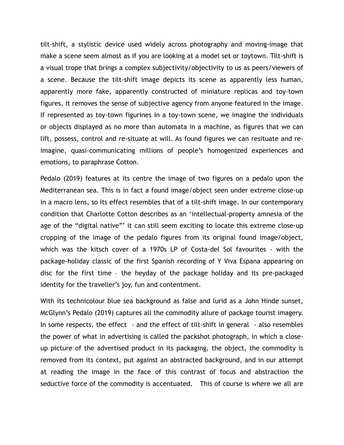tilt-shift, a stylistic device used widely across photography and moving-image that make a scene seem almost as if you are looking at a model set or toytown. Tilt-shift is a visual trope that brings a complex subjectivity/objectivity to us as peers/viewers of a scene. Because the tilt-shift image depicts its scene as apparently less human, apparently more fake, apparently constructed of miniature replicas and toy-town figures, it removes the sense of subjective agency from anyone featured in the image. If represented as toy-town figurines in a toy-town scene, we imagine the individuals or objects displayed as no more than automata in a machine, as figures that we can lift, possess, control and re-situate at will. As found figures we can resituate and reimagine, quasi-communicating millions of people's homogenized experiences and emotions, to paraphrase Cotton.

Pedalo (2019) features at its centre the image of two figures on a pedalo upon the Mediterranean sea. This is in fact a found image/object seen under extreme close-up in a macro lens, so its effect resembles that of a tilt-shift image. In our contemporary condition that Charlotte Cotton describes as an 'intellectual-property amnesia of the age of the "digital native"' it can still seem exciting to locate this extreme close-up cropping of the image of the pedalo figures from its original found image/object, which was the kitsch cover of a 1970s LP of Costa-del Sol favourites - with the package-holiday classic of the first Spanish recording of Y Viva Espana appearing on disc for the first time – the heyday of the package holiday and its pre-packaged identity for the traveller's joy, fun and contentment.

With its technicolour blue sea background as false and lurid as a John Hinde sunset, McGlynn's Pedalo (2019) captures all the commodity allure of package tourist imagery. In some respects, the effect - and the effect of tilt-shift in general - also resembles the power of what in advertising is called the packshot photograph, in which a closeup picture of the advertised product in its packaging, the object, the commodity is removed from its context, put against an abstracted background, and in our attempt at reading the image in the face of this contrast of focus and abstraction the seductive force of the commodity is accentuated. This of course is where we all are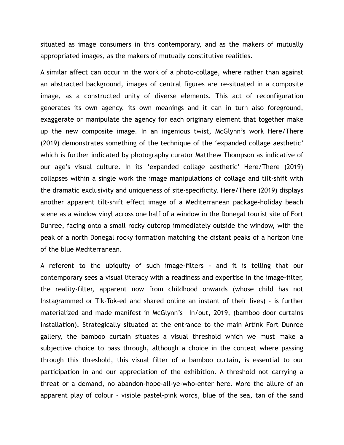situated as image consumers in this contemporary, and as the makers of mutually appropriated images, as the makers of mutually constitutive realities.

A similar affect can occur in the work of a photo-collage, where rather than against an abstracted background, images of central figures are re-situated in a composite image, as a constructed unity of diverse elements. This act of reconfiguration generates its own agency, its own meanings and it can in turn also foreground, exaggerate or manipulate the agency for each originary element that together make up the new composite image. In an ingenious twist, McGlynn's work Here/There (2019) demonstrates something of the technique of the 'expanded collage aesthetic' which is further indicated by photography curator Matthew Thompson as indicative of our age's visual culture. In its 'expanded collage aesthetic' Here/There (2019) collapses within a single work the image manipulations of collage and tilt-shift with the dramatic exclusivity and uniqueness of site-specificity. Here/There (2019) displays another apparent tilt-shift effect image of a Mediterranean package-holiday beach scene as a window vinyl across one half of a window in the Donegal tourist site of Fort Dunree, facing onto a small rocky outcrop immediately outside the window, with the peak of a north Donegal rocky formation matching the distant peaks of a horizon line of the blue Mediterranean.

A referent to the ubiquity of such image-filters - and it is telling that our contemporary sees a visual literacy with a readiness and expertise in the image-filter, the reality-filter, apparent now from childhood onwards (whose child has not Instagrammed or Tik-Tok-ed and shared online an instant of their lives) - is further materialized and made manifest in McGlynn's In/out, 2019, (bamboo door curtains installation). Strategically situated at the entrance to the main Artink Fort Dunree gallery, the bamboo curtain situates a visual threshold which we must make a subjective choice to pass through, although a choice in the context where passing through this threshold, this visual filter of a bamboo curtain, is essential to our participation in and our appreciation of the exhibition. A threshold not carrying a threat or a demand, no abandon-hope-all-ye-who-enter here. More the allure of an apparent play of colour – visible pastel-pink words, blue of the sea, tan of the sand